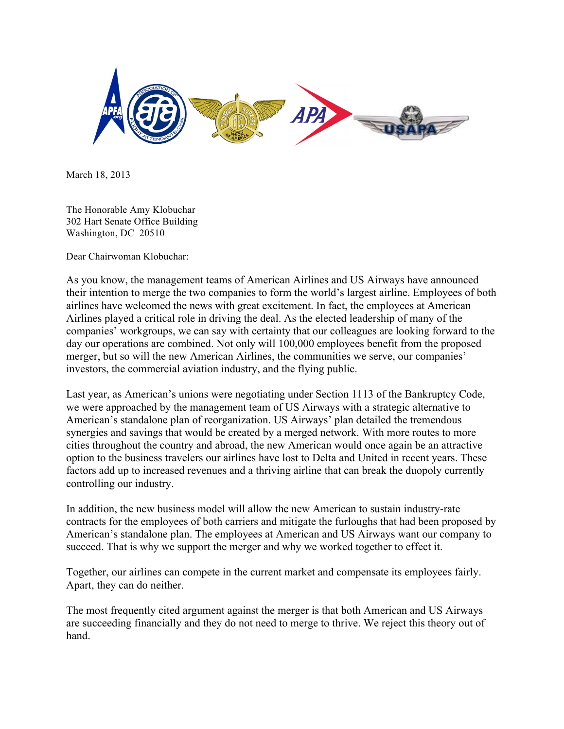

March 18, 2013

The Honorable Amy Klobuchar 302 Hart Senate Office Building Washington, DC 20510

Dear Chairwoman Klobuchar:

As you know, the management teams of American Airlines and US Airways have announced their intention to merge the two companies to form the world's largest airline. Employees of both airlines have welcomed the news with great excitement. In fact, the employees at American Airlines played a critical role in driving the deal. As the elected leadership of many of the companies' workgroups, we can say with certainty that our colleagues are looking forward to the day our operations are combined. Not only will 100,000 employees benefit from the proposed merger, but so will the new American Airlines, the communities we serve, our companies' investors, the commercial aviation industry, and the flying public.

Last year, as American's unions were negotiating under Section 1113 of the Bankruptcy Code, we were approached by the management team of US Airways with a strategic alternative to American's standalone plan of reorganization. US Airways' plan detailed the tremendous synergies and savings that would be created by a merged network. With more routes to more cities throughout the country and abroad, the new American would once again be an attractive option to the business travelers our airlines have lost to Delta and United in recent years. These factors add up to increased revenues and a thriving airline that can break the duopoly currently controlling our industry.

In addition, the new business model will allow the new American to sustain industry-rate contracts for the employees of both carriers and mitigate the furloughs that had been proposed by American's standalone plan. The employees at American and US Airways want our company to succeed. That is why we support the merger and why we worked together to effect it.

Together, our airlines can compete in the current market and compensate its employees fairly. Apart, they can do neither.

The most frequently cited argument against the merger is that both American and US Airways are succeeding financially and they do not need to merge to thrive. We reject this theory out of hand.